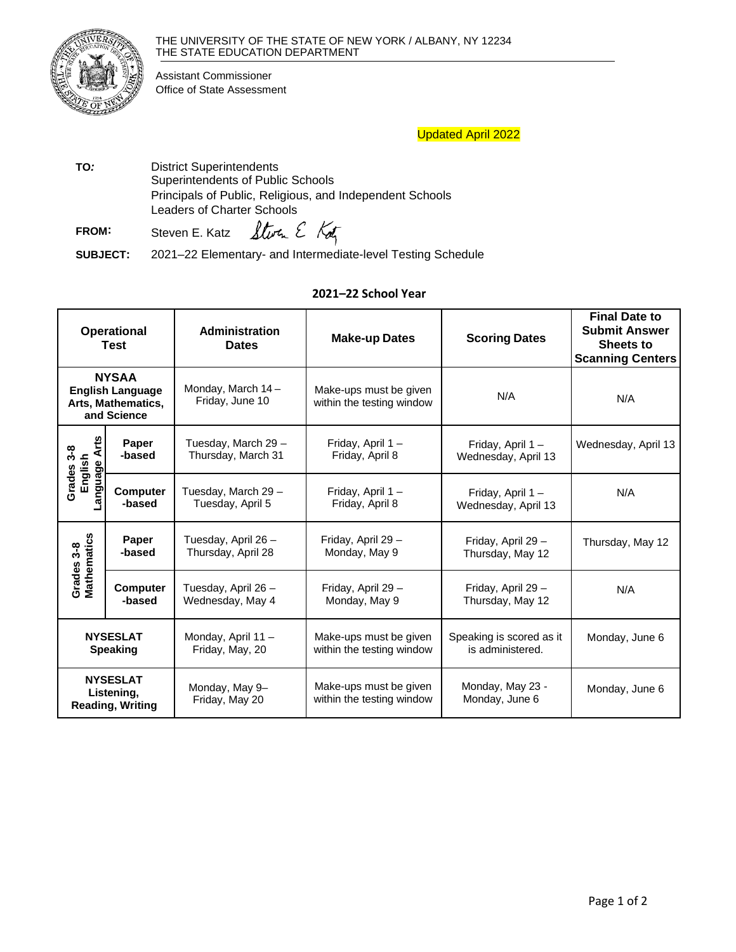

Assistant Commissioner Office of State Assessment

## Updated April 2022

TO: District Superintendents Superintendents of Public Schools Principals of Public, Religious, and Independent Schools Leaders of Charter Schools

Storm E Kotz **FROM:** Steven E. Katz

**SUBJECT:** 2021–22 Elementary- and Intermediate-level Testing Schedule

## **2021–22 School Year**

| <b>Operational</b><br><b>Test</b>                                            |                           | Administration<br><b>Dates</b>            | <b>Make-up Dates</b>                                | <b>Scoring Dates</b>                         | <b>Final Date to</b><br><b>Submit Answer</b><br><b>Sheets to</b><br><b>Scanning Centers</b> |
|------------------------------------------------------------------------------|---------------------------|-------------------------------------------|-----------------------------------------------------|----------------------------------------------|---------------------------------------------------------------------------------------------|
| <b>NYSAA</b><br><b>English Language</b><br>Arts, Mathematics,<br>and Science |                           | Monday, March 14-<br>Friday, June 10      | Make-ups must be given<br>within the testing window | N/A                                          | N/A                                                                                         |
| $\ddot{\mathsf{r}}$<br>Grades 3-8<br>⋖<br>English<br>Language                | Paper<br>-based           | Tuesday, March 29 -<br>Thursday, March 31 | Friday, April 1-<br>Friday, April 8                 | Friday, April 1-<br>Wednesday, April 13      | Wednesday, April 13                                                                         |
|                                                                              | <b>Computer</b><br>-based | Tuesday, March 29 -<br>Tuesday, April 5   | Friday, April 1-<br>Friday, April 8                 | Friday, April 1-<br>Wednesday, April 13      | N/A                                                                                         |
| Grades 3-8<br>Mathematics                                                    | Paper<br>-based           | Tuesday, April 26 -<br>Thursday, April 28 | Friday, April 29 -<br>Monday, May 9                 | Friday, April 29 -<br>Thursday, May 12       | Thursday, May 12                                                                            |
|                                                                              | <b>Computer</b><br>-based | Tuesday, April 26 -<br>Wednesday, May 4   | Friday, April 29 -<br>Monday, May 9                 | Friday, April 29 -<br>Thursday, May 12       | N/A                                                                                         |
| <b>NYSESLAT</b><br><b>Speaking</b>                                           |                           | Monday, April 11 -<br>Friday, May, 20     | Make-ups must be given<br>within the testing window | Speaking is scored as it<br>is administered. | Monday, June 6                                                                              |
| <b>NYSESLAT</b><br>Listening,<br><b>Reading, Writing</b>                     |                           | Monday, May 9-<br>Friday, May 20          | Make-ups must be given<br>within the testing window | Monday, May 23 -<br>Monday, June 6           | Monday, June 6                                                                              |